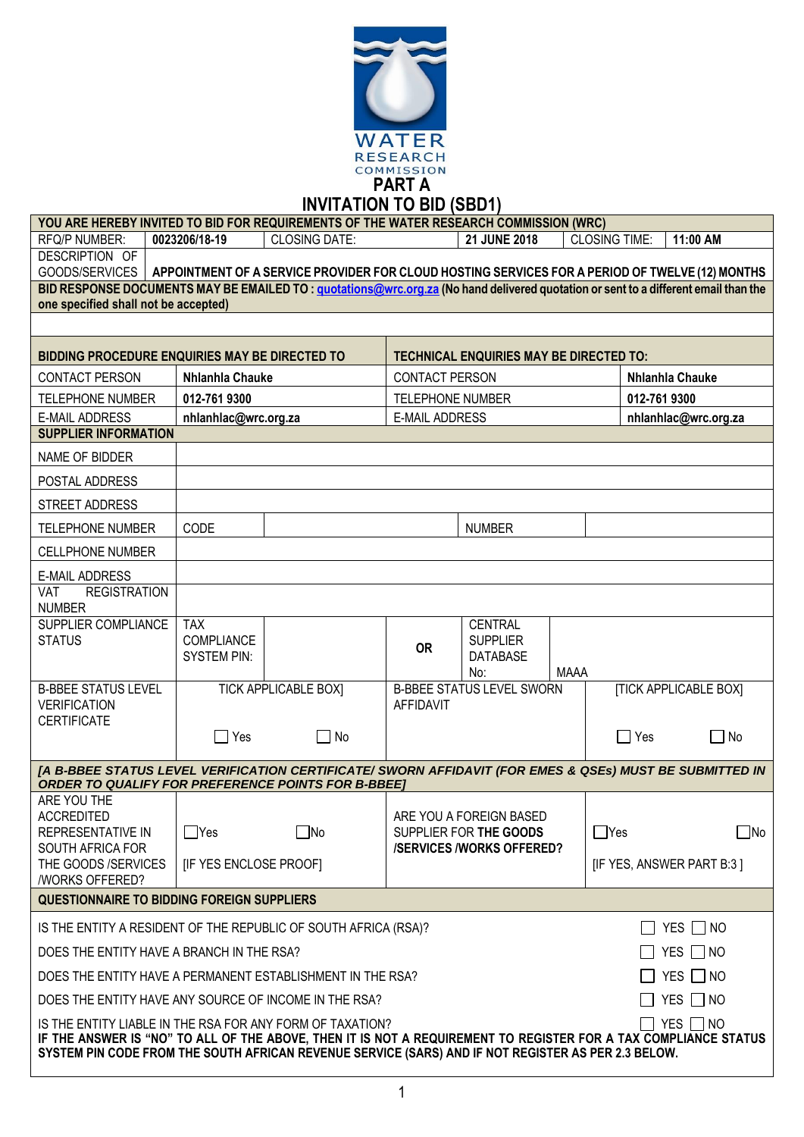

**INVITATION TO BID (SBD1)**

|                                                                                                                                                                                                                                                                                                                |                        | $IVVIIHIIUN~IU$ IV DIV (ODUT)                                                                   |                         |                                                |             |                           |                              |
|----------------------------------------------------------------------------------------------------------------------------------------------------------------------------------------------------------------------------------------------------------------------------------------------------------------|------------------------|-------------------------------------------------------------------------------------------------|-------------------------|------------------------------------------------|-------------|---------------------------|------------------------------|
| YOU ARE HEREBY INVITED TO BID FOR REQUIREMENTS OF THE WATER RESEARCH COMMISSION (WRC)                                                                                                                                                                                                                          |                        |                                                                                                 |                         |                                                |             |                           |                              |
| <b>RFQ/P NUMBER:</b><br>DESCRIPTION OF                                                                                                                                                                                                                                                                         | 0023206/18-19          | <b>CLOSING DATE:</b>                                                                            |                         | 21 JUNE 2018                                   |             | <b>CLOSING TIME:</b>      | 11:00 AM                     |
| GOODS/SERVICES                                                                                                                                                                                                                                                                                                 |                        | APPOINTMENT OF A SERVICE PROVIDER FOR CLOUD HOSTING SERVICES FOR A PERIOD OF TWELVE (12) MONTHS |                         |                                                |             |                           |                              |
| BID RESPONSE DOCUMENTS MAY BE EMAILED TO: quotations@wrc.org.za (No hand delivered quotation or sent to a different email than the                                                                                                                                                                             |                        |                                                                                                 |                         |                                                |             |                           |                              |
| one specified shall not be accepted)                                                                                                                                                                                                                                                                           |                        |                                                                                                 |                         |                                                |             |                           |                              |
|                                                                                                                                                                                                                                                                                                                |                        |                                                                                                 |                         |                                                |             |                           |                              |
| <b>BIDDING PROCEDURE ENQUIRIES MAY BE DIRECTED TO</b>                                                                                                                                                                                                                                                          |                        |                                                                                                 |                         | <b>TECHNICAL ENQUIRIES MAY BE DIRECTED TO:</b> |             |                           |                              |
| <b>CONTACT PERSON</b>                                                                                                                                                                                                                                                                                          | Nhlanhla Chauke        |                                                                                                 | <b>CONTACT PERSON</b>   |                                                |             | Nhlanhla Chauke           |                              |
| <b>TELEPHONE NUMBER</b>                                                                                                                                                                                                                                                                                        | 012-761 9300           |                                                                                                 | <b>TELEPHONE NUMBER</b> |                                                |             | 012-761 9300              |                              |
| <b>E-MAIL ADDRESS</b>                                                                                                                                                                                                                                                                                          | nhlanhlac@wrc.org.za   |                                                                                                 | <b>E-MAIL ADDRESS</b>   |                                                |             |                           | nhlanhlac@wrc.org.za         |
| <b>SUPPLIER INFORMATION</b>                                                                                                                                                                                                                                                                                    |                        |                                                                                                 |                         |                                                |             |                           |                              |
| NAME OF BIDDER                                                                                                                                                                                                                                                                                                 |                        |                                                                                                 |                         |                                                |             |                           |                              |
| POSTAL ADDRESS                                                                                                                                                                                                                                                                                                 |                        |                                                                                                 |                         |                                                |             |                           |                              |
| <b>STREET ADDRESS</b>                                                                                                                                                                                                                                                                                          |                        |                                                                                                 |                         |                                                |             |                           |                              |
| <b>TELEPHONE NUMBER</b>                                                                                                                                                                                                                                                                                        | CODE                   |                                                                                                 |                         | <b>NUMBER</b>                                  |             |                           |                              |
| <b>CELLPHONE NUMBER</b>                                                                                                                                                                                                                                                                                        |                        |                                                                                                 |                         |                                                |             |                           |                              |
| <b>E-MAIL ADDRESS</b>                                                                                                                                                                                                                                                                                          |                        |                                                                                                 |                         |                                                |             |                           |                              |
| <b>VAT</b><br><b>REGISTRATION</b>                                                                                                                                                                                                                                                                              |                        |                                                                                                 |                         |                                                |             |                           |                              |
| <b>NUMBER</b><br>SUPPLIER COMPLIANCE                                                                                                                                                                                                                                                                           | <b>TAX</b>             |                                                                                                 |                         | <b>CENTRAL</b>                                 |             |                           |                              |
| <b>STATUS</b>                                                                                                                                                                                                                                                                                                  | COMPLIANCE             |                                                                                                 |                         | <b>SUPPLIER</b>                                |             |                           |                              |
|                                                                                                                                                                                                                                                                                                                | <b>SYSTEM PIN:</b>     |                                                                                                 | <b>OR</b>               | <b>DATABASE</b>                                |             |                           |                              |
|                                                                                                                                                                                                                                                                                                                |                        |                                                                                                 |                         | No:                                            | <b>MAAA</b> |                           |                              |
| <b>B-BBEE STATUS LEVEL</b><br><b>VERIFICATION</b>                                                                                                                                                                                                                                                              |                        | <b>TICK APPLICABLE BOX]</b>                                                                     | <b>AFFIDAVIT</b>        | <b>B-BBEE STATUS LEVEL SWORN</b>               |             |                           | <b>[TICK APPLICABLE BOX]</b> |
| <b>CERTIFICATE</b>                                                                                                                                                                                                                                                                                             |                        |                                                                                                 |                         |                                                |             |                           |                              |
|                                                                                                                                                                                                                                                                                                                | $\Box$ Yes             | $\Box$ No                                                                                       |                         |                                                |             | $\Box$ Yes                | $\Box$ No                    |
| [A B-BBEE STATUS LEVEL VERIFICATION CERTIFICATE/ SWORN AFFIDAVIT (FOR EMES & QSEs) MUST BE SUBMITTED IN                                                                                                                                                                                                        |                        |                                                                                                 |                         |                                                |             |                           |                              |
| <b>ORDER TO QUALIFY FOR PREFERENCE POINTS FOR B-BBEET</b>                                                                                                                                                                                                                                                      |                        |                                                                                                 |                         |                                                |             |                           |                              |
| ARE YOU THE<br><b>ACCREDITED</b>                                                                                                                                                                                                                                                                               |                        |                                                                                                 |                         | ARE YOU A FOREIGN BASED                        |             |                           |                              |
| <b>REPRESENTATIVE IN</b>                                                                                                                                                                                                                                                                                       | $\Box$ Yes             | $\square$ No                                                                                    |                         | SUPPLIER FOR THE GOODS                         |             | $\Box$ Yes                | $\overline{\phantom{a}}$ No  |
| SOUTH AFRICA FOR                                                                                                                                                                                                                                                                                               |                        |                                                                                                 |                         | <b>/SERVICES/WORKS OFFERED?</b>                |             |                           |                              |
| THE GOODS /SERVICES<br>/WORKS OFFERED?                                                                                                                                                                                                                                                                         | [IF YES ENCLOSE PROOF] |                                                                                                 |                         |                                                |             | [IF YES, ANSWER PART B:3] |                              |
| <b>QUESTIONNAIRE TO BIDDING FOREIGN SUPPLIERS</b>                                                                                                                                                                                                                                                              |                        |                                                                                                 |                         |                                                |             |                           |                              |
|                                                                                                                                                                                                                                                                                                                |                        |                                                                                                 |                         |                                                |             |                           |                              |
| IS THE ENTITY A RESIDENT OF THE REPUBLIC OF SOUTH AFRICA (RSA)?<br>YES NO<br>DOES THE ENTITY HAVE A BRANCH IN THE RSA?<br>YES $\Box$ NO                                                                                                                                                                        |                        |                                                                                                 |                         |                                                |             |                           |                              |
|                                                                                                                                                                                                                                                                                                                |                        |                                                                                                 |                         |                                                |             |                           |                              |
| DOES THE ENTITY HAVE A PERMANENT ESTABLISHMENT IN THE RSA?                                                                                                                                                                                                                                                     |                        |                                                                                                 |                         |                                                |             |                           | $YES \Box NO$                |
| DOES THE ENTITY HAVE ANY SOURCE OF INCOME IN THE RSA?                                                                                                                                                                                                                                                          |                        |                                                                                                 |                         |                                                |             |                           | YES $\Box$ NO                |
| $\exists$ yes $\Box$ no<br>IS THE ENTITY LIABLE IN THE RSA FOR ANY FORM OF TAXATION?<br>IF THE ANSWER IS "NO" TO ALL OF THE ABOVE, THEN IT IS NOT A REQUIREMENT TO REGISTER FOR A TAX COMPLIANCE STATUS<br>SYSTEM PIN CODE FROM THE SOUTH AFRICAN REVENUE SERVICE (SARS) AND IF NOT REGISTER AS PER 2.3 BELOW. |                        |                                                                                                 |                         |                                                |             |                           |                              |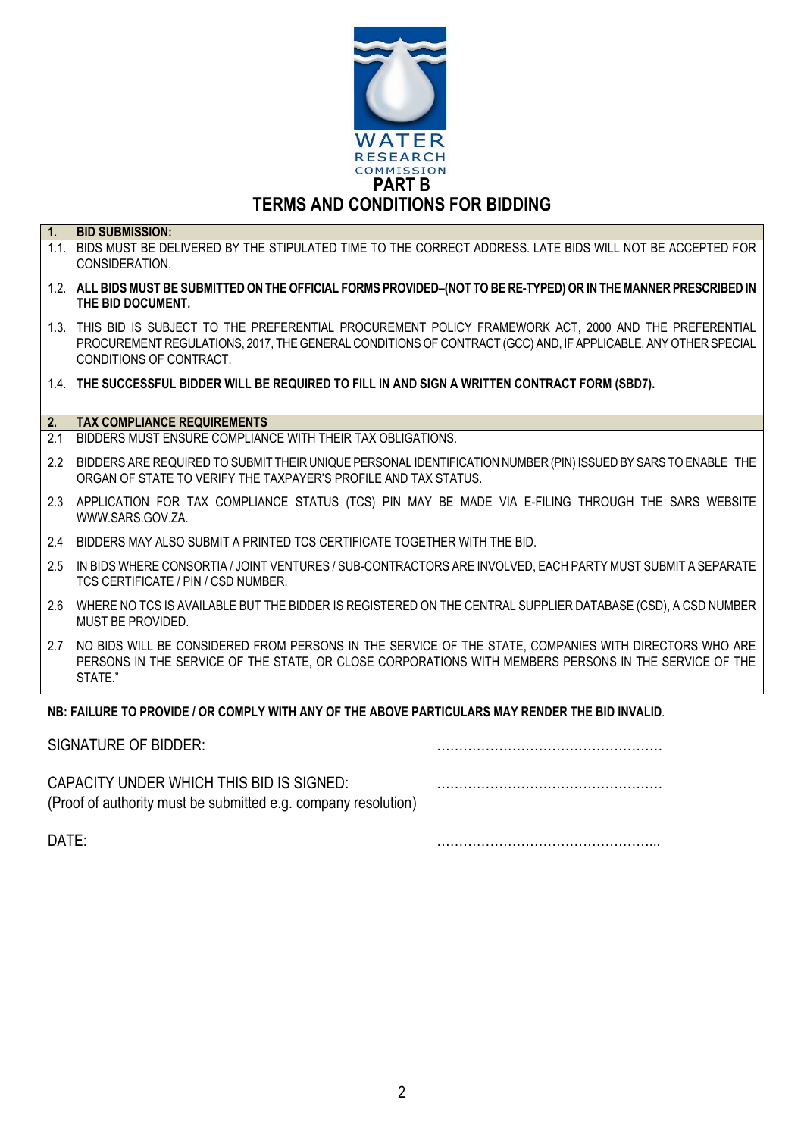

# **1. BID SUBMISSION:**

- 1.1. BIDS MUST BE DELIVERED BY THE STIPULATED TIME TO THE CORRECT ADDRESS. LATE BIDS WILL NOT BE ACCEPTED FOR CONSIDERATION.
- 1.2. **ALL BIDS MUST BE SUBMITTED ON THE OFFICIAL FORMS PROVIDED–(NOT TO BE RE-TYPED) OR IN THE MANNER PRESCRIBED IN THE BID DOCUMENT.**
- 1.3. THIS BID IS SUBJECT TO THE PREFERENTIAL PROCUREMENT POLICY FRAMEWORK ACT, 2000 AND THE PREFERENTIAL PROCUREMENT REGULATIONS, 2017, THE GENERAL CONDITIONS OF CONTRACT (GCC) AND, IF APPLICABLE, ANY OTHER SPECIAL CONDITIONS OF CONTRACT.
- 1.4. **THE SUCCESSFUL BIDDER WILL BE REQUIRED TO FILL IN AND SIGN A WRITTEN CONTRACT FORM (SBD7).**

#### **2. TAX COMPLIANCE REQUIREMENTS**

- 2.1 BIDDERS MUST ENSURE COMPLIANCE WITH THEIR TAX OBLIGATIONS.
- 2.2 BIDDERS ARE REQUIRED TO SUBMIT THEIR UNIQUE PERSONAL IDENTIFICATION NUMBER (PIN) ISSUED BY SARS TO ENABLE THE ORGAN OF STATE TO VERIFY THE TAXPAYER'S PROFILE AND TAX STATUS.
- 2.3 APPLICATION FOR TAX COMPLIANCE STATUS (TCS) PIN MAY BE MADE VIA E-FILING THROUGH THE SARS WEBSITE [WWW.SARS.GOV.ZA.](http://www.sars.gov.za/)
- 2.4 BIDDERS MAY ALSO SUBMIT A PRINTED TCS CERTIFICATE TOGETHER WITH THE BID.
- 2.5 IN BIDS WHERE CONSORTIA / JOINT VENTURES / SUB-CONTRACTORS ARE INVOLVED, EACH PARTY MUST SUBMIT A SEPARATE TCS CERTIFICATE / PIN / CSD NUMBER.
- 2.6 WHERE NO TCS IS AVAILABLE BUT THE BIDDER IS REGISTERED ON THE CENTRAL SUPPLIER DATABASE (CSD), A CSD NUMBER MUST BE PROVIDED.
- 2.7 NO BIDS WILL BE CONSIDERED FROM PERSONS IN THE SERVICE OF THE STATE, COMPANIES WITH DIRECTORS WHO ARE PERSONS IN THE SERVICE OF THE STATE, OR CLOSE CORPORATIONS WITH MEMBERS PERSONS IN THE SERVICE OF THE STATE."

#### **NB: FAILURE TO PROVIDE / OR COMPLY WITH ANY OF THE ABOVE PARTICULARS MAY RENDER THE BID INVALID**.

| SIGNATURE OF BIDDER:                                                                                       |  |
|------------------------------------------------------------------------------------------------------------|--|
| CAPACITY UNDER WHICH THIS BID IS SIGNED:<br>(Proof of authority must be submitted e.g. company resolution) |  |

DATE: …………………………………………...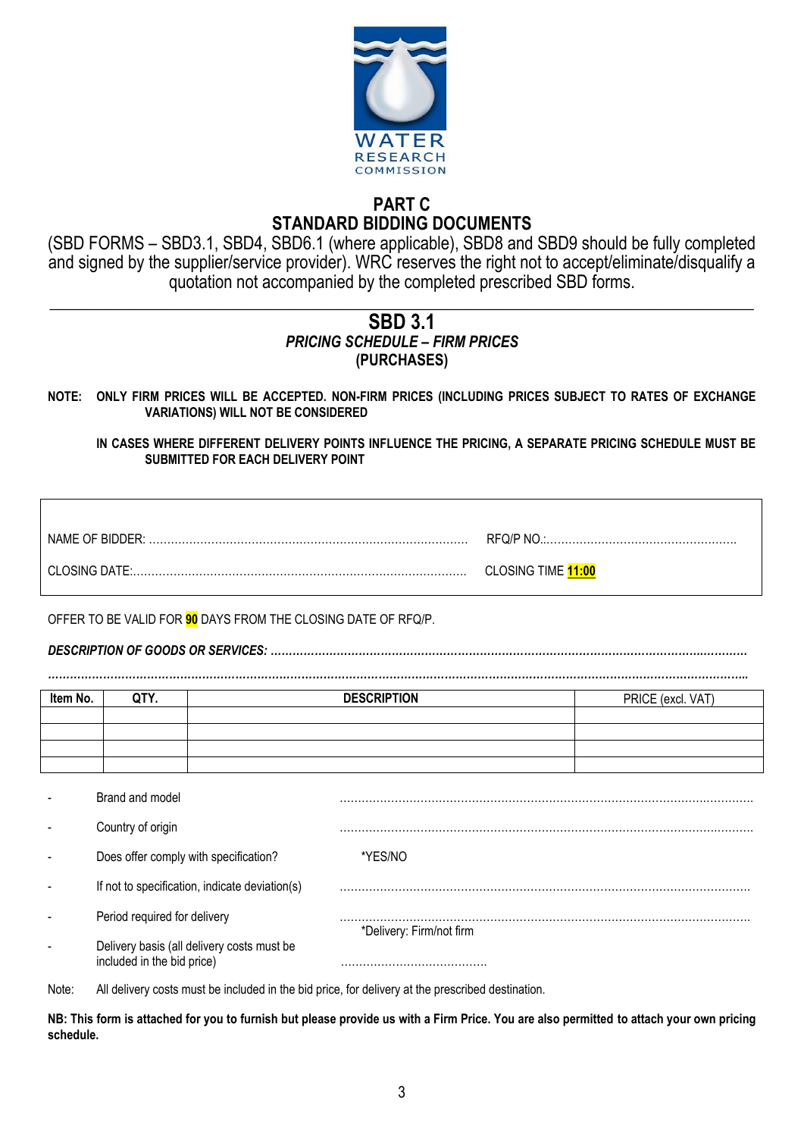

## **PART C STANDARD BIDDING DOCUMENTS**

(SBD FORMS – SBD3.1, SBD4, SBD6.1 (where applicable), SBD8 and SBD9 should be fully completed and signed by the supplier/service provider). WRC reserves the right not to accept/eliminate/disqualify a quotation not accompanied by the completed prescribed SBD forms.

#### **\_\_\_\_\_\_\_\_\_\_\_\_\_\_\_\_\_\_\_\_\_\_\_\_\_\_\_\_\_\_\_\_\_\_\_\_\_\_\_\_\_\_\_\_\_\_\_\_\_\_\_\_\_\_\_\_\_\_\_\_\_\_\_\_\_\_\_\_\_\_\_\_\_\_\_\_\_\_\_\_\_\_ SBD 3.1** *PRICING SCHEDULE – FIRM PRICES* **(PURCHASES)**

**NOTE: ONLY FIRM PRICES WILL BE ACCEPTED. NON-FIRM PRICES (INCLUDING PRICES SUBJECT TO RATES OF EXCHANGE VARIATIONS) WILL NOT BE CONSIDERED**

**IN CASES WHERE DIFFERENT DELIVERY POINTS INFLUENCE THE PRICING, A SEPARATE PRICING SCHEDULE MUST BE SUBMITTED FOR EACH DELIVERY POINT** 

| NAME OF BIDDER: |                    |
|-----------------|--------------------|
| CLOSING DATE:   | CLOSING TIME 11:00 |

OFFER TO BE VALID FOR **90** DAYS FROM THE CLOSING DATE OF RFQ/P.

*DESCRIPTION OF GOODS OR SERVICES: ……………………………………………………………………………………………………….…………*

*………………………………………………………………………………………………………………………………………………………………………..* **Item No. QTY. DESCRIPTION** PRICE (excl. VAT)

- Brand and model ……………………………………………………………………………………….………….

Country of origin

If not to specification, indicate deviation(s)

Does offer comply with specification?

Period required for delivery

\*Delivery: Firm/not firm

Delivery basis (all delivery costs must be included in the bid price) methods are also matter that  $\mathbf{r}$  included in the bid price)

Note: All delivery costs must be included in the bid price, for delivery at the prescribed destination.

**NB: This form is attached for you to furnish but please provide us with a Firm Price. You are also permitted to attach your own pricing schedule.**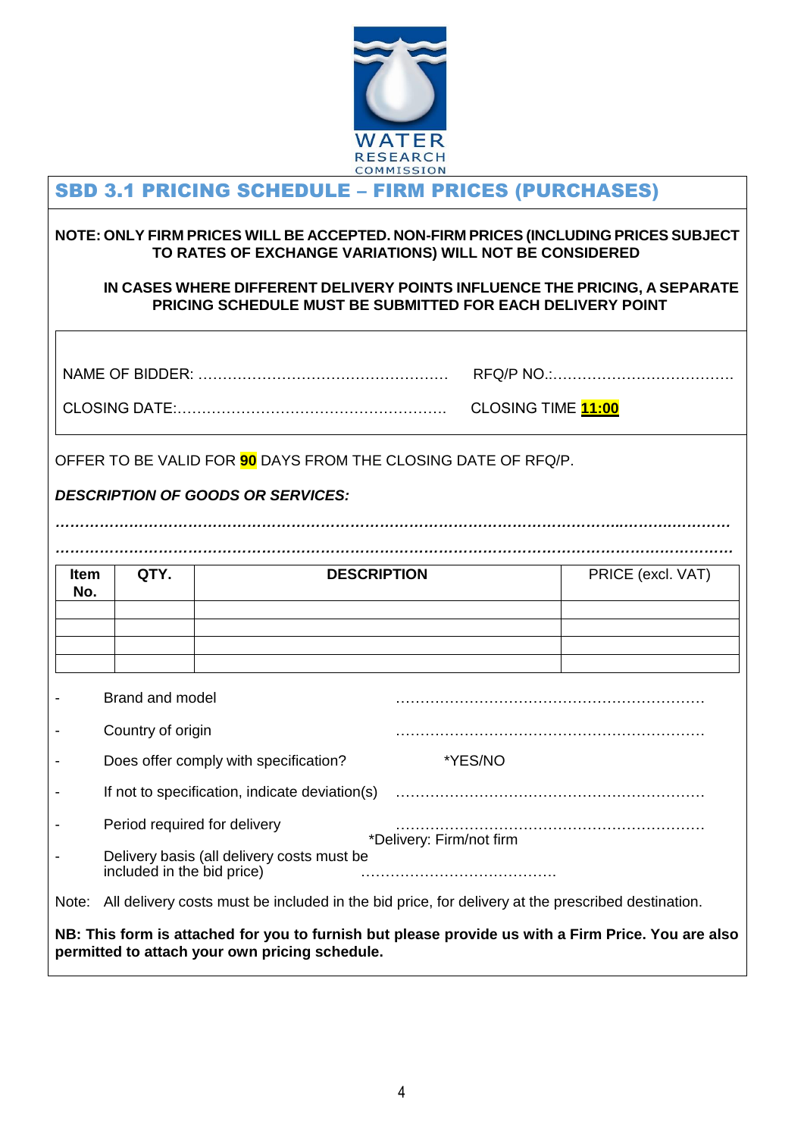

#### $\overline{a}$ SBD 3.1 PRICING SCHEDULE – FIRM PRICES (PURCHASES)

#### **NOTE: ONLY FIRM PRICES WILL BE ACCEPTED. NON-FIRM PRICES (INCLUDING PRICES SUBJECT TO RATES OF EXCHANGE VARIATIONS) WILL NOT BE CONSIDERED**

#### **IN CASES WHERE DIFFERENT DELIVERY POINTS INFLUENCE THE PRICING, A SEPARATE PRICING SCHEDULE MUST BE SUBMITTED FOR EACH DELIVERY POINT**

|                                                                                                                                                      |                                                                                                      | OFFER TO BE VALID FOR 90 DAYS FROM THE CLOSING DATE OF RFQ/P.<br><b>DESCRIPTION OF GOODS OR SERVICES:</b> |  | CLOSING TIME 11:00 |                   |
|------------------------------------------------------------------------------------------------------------------------------------------------------|------------------------------------------------------------------------------------------------------|-----------------------------------------------------------------------------------------------------------|--|--------------------|-------------------|
| <b>Item</b>                                                                                                                                          | QTY.                                                                                                 | <b>DESCRIPTION</b>                                                                                        |  |                    | PRICE (excl. VAT) |
| No.                                                                                                                                                  |                                                                                                      |                                                                                                           |  |                    |                   |
|                                                                                                                                                      |                                                                                                      |                                                                                                           |  |                    |                   |
|                                                                                                                                                      |                                                                                                      |                                                                                                           |  |                    |                   |
|                                                                                                                                                      | Brand and model                                                                                      |                                                                                                           |  |                    |                   |
|                                                                                                                                                      |                                                                                                      |                                                                                                           |  |                    |                   |
|                                                                                                                                                      | Country of origin                                                                                    |                                                                                                           |  |                    |                   |
|                                                                                                                                                      |                                                                                                      | Does offer comply with specification?                                                                     |  | *YES/NO            |                   |
|                                                                                                                                                      | If not to specification, indicate deviation(s)                                                       |                                                                                                           |  |                    |                   |
|                                                                                                                                                      | Period required for delivery                                                                         |                                                                                                           |  |                    |                   |
|                                                                                                                                                      | *Delivery: Firm/not firm<br>Delivery basis (all delivery costs must be<br>included in the bid price) |                                                                                                           |  |                    |                   |
| Note: All delivery costs must be included in the bid price, for delivery at the prescribed destination.                                              |                                                                                                      |                                                                                                           |  |                    |                   |
| NB: This form is attached for you to furnish but please provide us with a Firm Price. You are also<br>permitted to attach your own pricing schedule. |                                                                                                      |                                                                                                           |  |                    |                   |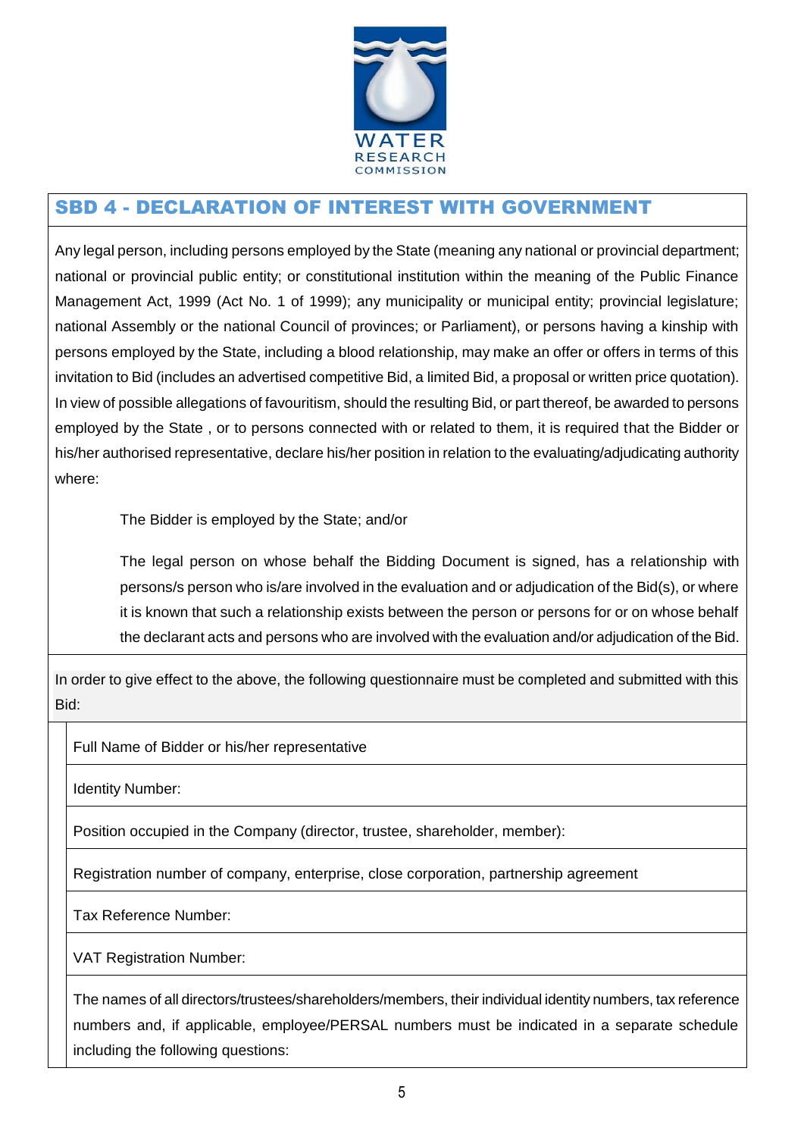

# SBD 4 - DECLARATION OF INTEREST WITH GOVERNMENT

Any legal person, including persons employed by the State (meaning any national or provincial department; national or provincial public entity; or constitutional institution within the meaning of the Public Finance Management Act, 1999 (Act No. 1 of 1999); any municipality or municipal entity; provincial legislature; national Assembly or the national Council of provinces; or Parliament), or persons having a kinship with persons employed by the State, including a blood relationship, may make an offer or offers in terms of this invitation to Bid (includes an advertised competitive Bid, a limited Bid, a proposal or written price quotation). In view of possible allegations of favouritism, should the resulting Bid, or part thereof, be awarded to persons employed by the State , or to persons connected with or related to them, it is required that the Bidder or his/her authorised representative, declare his/her position in relation to the evaluating/adjudicating authority where:

The Bidder is employed by the State; and/or

The legal person on whose behalf the Bidding Document is signed, has a relationship with persons/s person who is/are involved in the evaluation and or adjudication of the Bid(s), or where it is known that such a relationship exists between the person or persons for or on whose behalf the declarant acts and persons who are involved with the evaluation and/or adjudication of the Bid.

In order to give effect to the above, the following questionnaire must be completed and submitted with this Bid:

Full Name of Bidder or his/her representative

Identity Number:

Position occupied in the Company (director, trustee, shareholder, member):

Registration number of company, enterprise, close corporation, partnership agreement

Tax Reference Number:

VAT Registration Number:

The names of all directors/trustees/shareholders/members, their individual identity numbers, tax reference numbers and, if applicable, employee/PERSAL numbers must be indicated in a separate schedule including the following questions: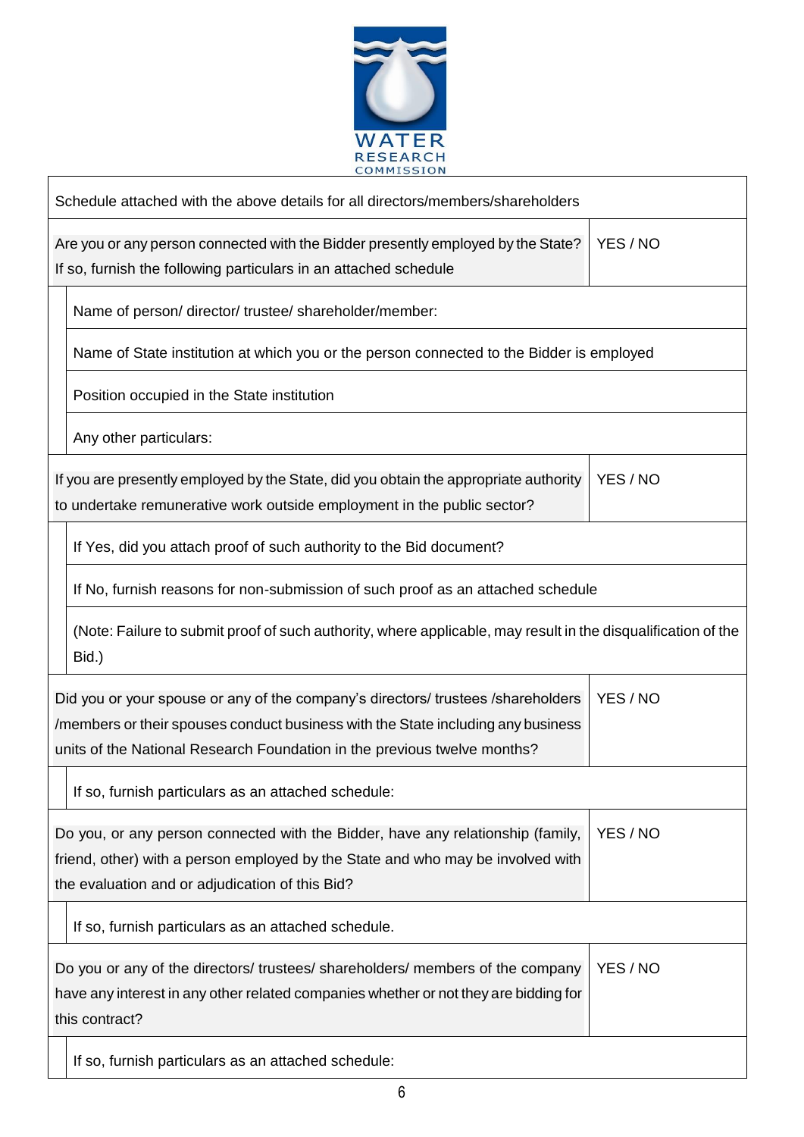

 $\overline{a}$ 

| Schedule attached with the above details for all directors/members/shareholders                                                                                                                                                                              |          |  |  |  |
|--------------------------------------------------------------------------------------------------------------------------------------------------------------------------------------------------------------------------------------------------------------|----------|--|--|--|
| YES / NO<br>Are you or any person connected with the Bidder presently employed by the State?<br>If so, furnish the following particulars in an attached schedule                                                                                             |          |  |  |  |
| Name of person/director/trustee/shareholder/member:                                                                                                                                                                                                          |          |  |  |  |
| Name of State institution at which you or the person connected to the Bidder is employed                                                                                                                                                                     |          |  |  |  |
| Position occupied in the State institution                                                                                                                                                                                                                   |          |  |  |  |
| Any other particulars:                                                                                                                                                                                                                                       |          |  |  |  |
| If you are presently employed by the State, did you obtain the appropriate authority<br>to undertake remunerative work outside employment in the public sector?                                                                                              | YES / NO |  |  |  |
| If Yes, did you attach proof of such authority to the Bid document?                                                                                                                                                                                          |          |  |  |  |
| If No, furnish reasons for non-submission of such proof as an attached schedule                                                                                                                                                                              |          |  |  |  |
| (Note: Failure to submit proof of such authority, where applicable, may result in the disqualification of the<br>Bid.)                                                                                                                                       |          |  |  |  |
| YES / NO<br>Did you or your spouse or any of the company's directors/ trustees /shareholders<br>/members or their spouses conduct business with the State including any business<br>units of the National Research Foundation in the previous twelve months? |          |  |  |  |
| If so, furnish particulars as an attached schedule:                                                                                                                                                                                                          |          |  |  |  |
| YES / NO<br>Do you, or any person connected with the Bidder, have any relationship (family,<br>friend, other) with a person employed by the State and who may be involved with<br>the evaluation and or adjudication of this Bid?                            |          |  |  |  |
| If so, furnish particulars as an attached schedule.                                                                                                                                                                                                          |          |  |  |  |
| Do you or any of the directors/ trustees/ shareholders/ members of the company<br>have any interest in any other related companies whether or not they are bidding for<br>this contract?                                                                     | YES / NO |  |  |  |
| If so, furnish particulars as an attached schedule:                                                                                                                                                                                                          |          |  |  |  |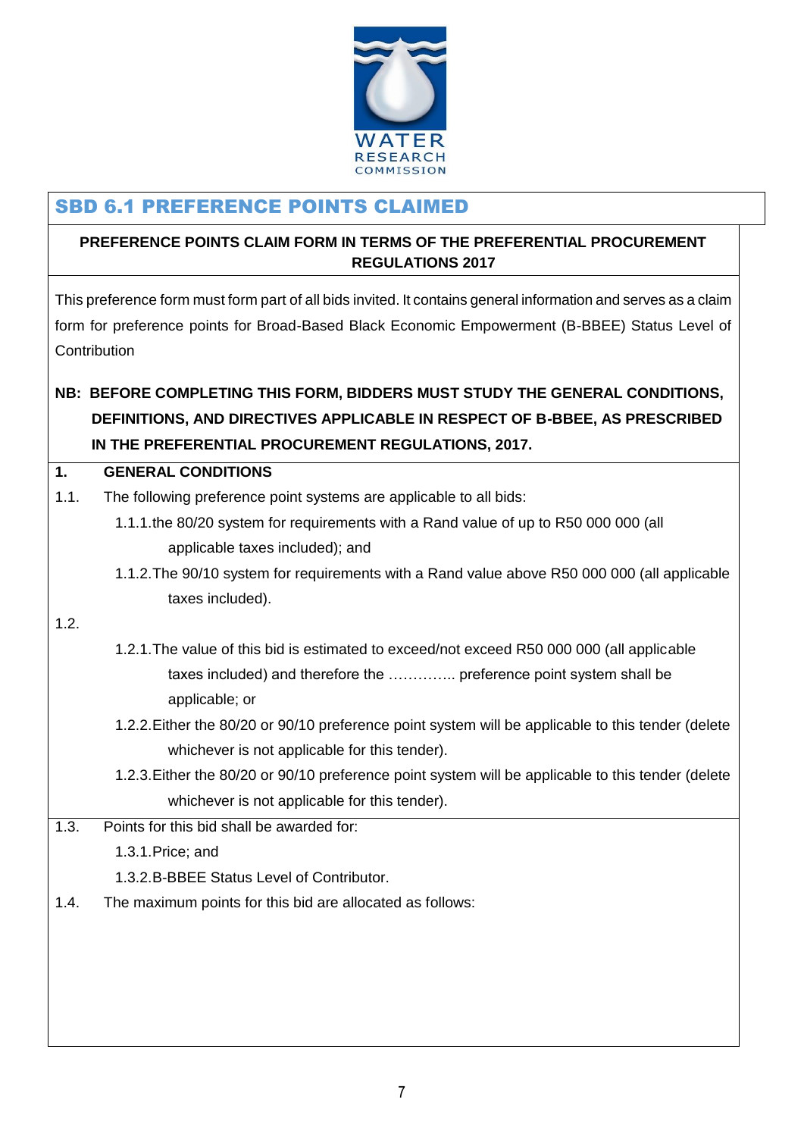

# SBD 6.1 PREFERENCE POINTS CLAIMED

## **PREFERENCE POINTS CLAIM FORM IN TERMS OF THE PREFERENTIAL PROCUREMENT REGULATIONS 2017**

This preference form must form part of all bids invited. It contains general information and serves as a claim form for preference points for Broad-Based Black Economic Empowerment (B-BBEE) Status Level of **Contribution** 

# **NB: BEFORE COMPLETING THIS FORM, BIDDERS MUST STUDY THE GENERAL CONDITIONS, DEFINITIONS, AND DIRECTIVES APPLICABLE IN RESPECT OF B-BBEE, AS PRESCRIBED IN THE PREFERENTIAL PROCUREMENT REGULATIONS, 2017.**

#### **1. GENERAL CONDITIONS**

- 1.1. The following preference point systems are applicable to all bids:
	- 1.1.1.the 80/20 system for requirements with a Rand value of up to R50 000 000 (all applicable taxes included); and
	- 1.1.2.The 90/10 system for requirements with a Rand value above R50 000 000 (all applicable taxes included).

#### 1.2.

- 1.2.1.The value of this bid is estimated to exceed/not exceed R50 000 000 (all applicable taxes included) and therefore the ………….. preference point system shall be applicable; or
- 1.2.2.Either the 80/20 or 90/10 preference point system will be applicable to this tender (delete whichever is not applicable for this tender).
- 1.2.3.Either the 80/20 or 90/10 preference point system will be applicable to this tender (delete whichever is not applicable for this tender).
- 1.3. Points for this bid shall be awarded for:

1.3.1.Price; and

1.3.2.B-BBEE Status Level of Contributor.

1.4. The maximum points for this bid are allocated as follows: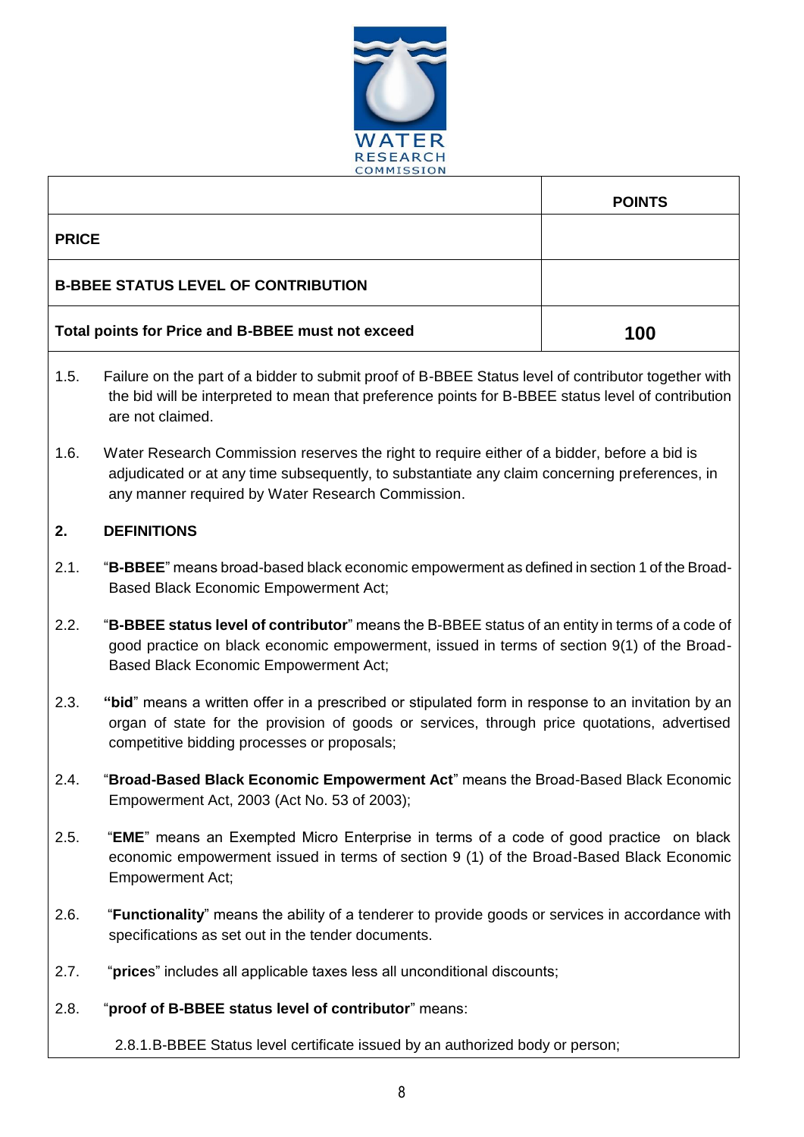

|              | COMMISSION                                                                                                                                                                                                                                        |               |  |  |
|--------------|---------------------------------------------------------------------------------------------------------------------------------------------------------------------------------------------------------------------------------------------------|---------------|--|--|
|              |                                                                                                                                                                                                                                                   | <b>POINTS</b> |  |  |
| <b>PRICE</b> |                                                                                                                                                                                                                                                   |               |  |  |
|              | <b>B-BBEE STATUS LEVEL OF CONTRIBUTION</b>                                                                                                                                                                                                        |               |  |  |
|              | Total points for Price and B-BBEE must not exceed<br>100                                                                                                                                                                                          |               |  |  |
| 1.5.         | Failure on the part of a bidder to submit proof of B-BBEE Status level of contributor together with<br>the bid will be interpreted to mean that preference points for B-BBEE status level of contribution<br>are not claimed.                     |               |  |  |
| 1.6.         | Water Research Commission reserves the right to require either of a bidder, before a bid is<br>adjudicated or at any time subsequently, to substantiate any claim concerning preferences, in<br>any manner required by Water Research Commission. |               |  |  |
| 2.           | <b>DEFINITIONS</b>                                                                                                                                                                                                                                |               |  |  |
| 2.1.         | "B-BBEE" means broad-based black economic empowerment as defined in section 1 of the Broad-<br>Based Black Economic Empowerment Act;                                                                                                              |               |  |  |
| 2.2.         | "B-BBEE status level of contributor" means the B-BBEE status of an entity in terms of a code of<br>good practice on black economic empowerment, issued in terms of section 9(1) of the Broad-<br><b>Based Black Economic Empowerment Act;</b>     |               |  |  |
| 2.3.         | "bid" means a written offer in a prescribed or stipulated form in response to an invitation by an<br>organ of state for the provision of goods or services, through price quotations, advertised<br>competitive bidding processes or proposals;   |               |  |  |
| 2.4.         | "Broad-Based Black Economic Empowerment Act" means the Broad-Based Black Economic<br>Empowerment Act, 2003 (Act No. 53 of 2003);                                                                                                                  |               |  |  |
| 2.5.         | "EME" means an Exempted Micro Enterprise in terms of a code of good practice on black<br>economic empowerment issued in terms of section 9 (1) of the Broad-Based Black Economic<br><b>Empowerment Act;</b>                                       |               |  |  |
| 2.6.         | "Functionality" means the ability of a tenderer to provide goods or services in accordance with<br>specifications as set out in the tender documents.                                                                                             |               |  |  |
| 2.7.         | "prices" includes all applicable taxes less all unconditional discounts;                                                                                                                                                                          |               |  |  |
| 2.8.         | "proof of B-BBEE status level of contributor" means:                                                                                                                                                                                              |               |  |  |
|              | 2.8.1.B-BBEE Status level certificate issued by an authorized body or person;                                                                                                                                                                     |               |  |  |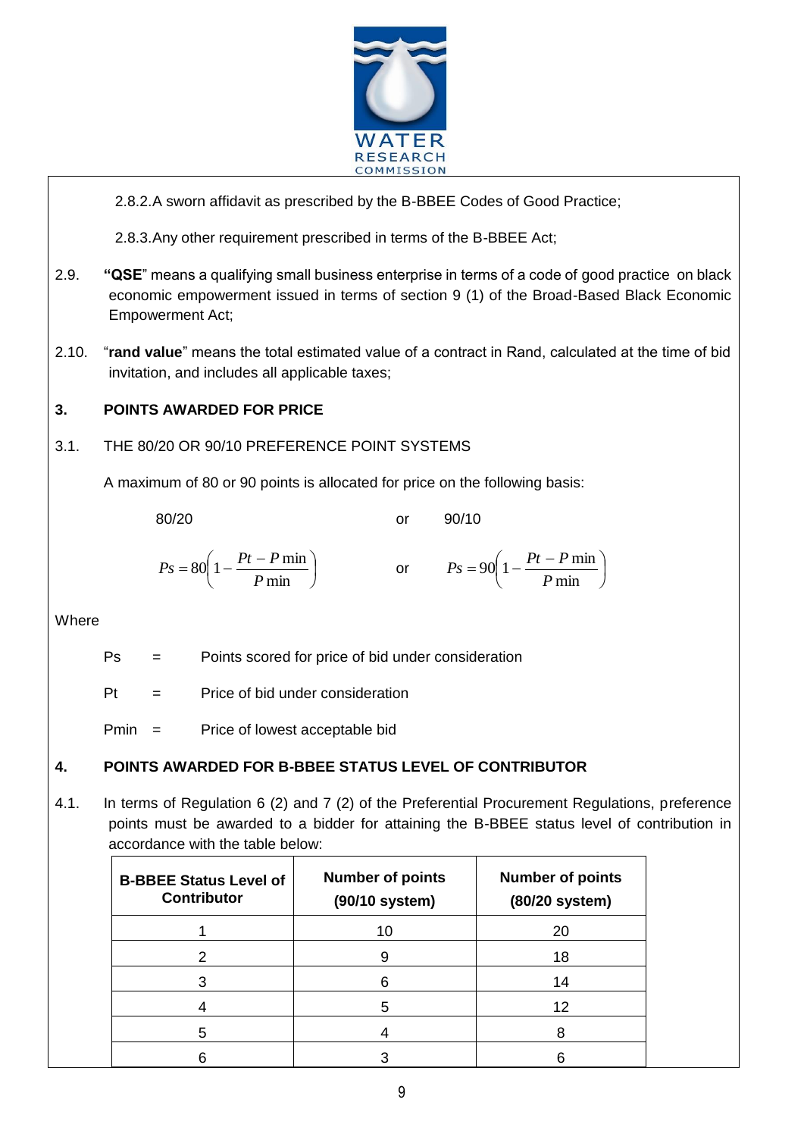

 $\overline{a}$ 

2.8.2.A sworn affidavit as prescribed by the B-BBEE Codes of Good Practice;

2.8.3.Any other requirement prescribed in terms of the B-BBEE Act;

- 2.9. **"QSE**" means a qualifying small business enterprise in terms of a code of good practice on black economic empowerment issued in terms of section 9 (1) of the Broad-Based Black Economic Empowerment Act;
- 2.10. "**rand value**" means the total estimated value of a contract in Rand, calculated at the time of bid invitation, and includes all applicable taxes;

## **3. POINTS AWARDED FOR PRICE**

3.1. THE 80/20 OR 90/10 PREFERENCE POINT SYSTEMS

A maximum of 80 or 90 points is allocated for price on the following basis:

80/20 or 90/10

$$
Ps = 80\left(1 - \frac{Pt - P \min}{P \min}\right) \qquad \text{or} \qquad Ps = 90\left(1 - \frac{Pt - P \min}{P \min}\right)
$$

Where

Ps = Points scored for price of bid under consideration

 $Pt =$  Price of bid under consideration

Pmin = Price of lowest acceptable bid

## **4. POINTS AWARDED FOR B-BBEE STATUS LEVEL OF CONTRIBUTOR**

4.1. In terms of Regulation 6 (2) and 7 (2) of the Preferential Procurement Regulations, preference points must be awarded to a bidder for attaining the B-BBEE status level of contribution in accordance with the table below:

| <b>B-BBEE Status Level of</b><br><b>Contributor</b> | <b>Number of points</b><br>(90/10 system) | <b>Number of points</b><br>(80/20 system) |
|-----------------------------------------------------|-------------------------------------------|-------------------------------------------|
|                                                     | 10                                        | 20                                        |
| 2                                                   |                                           | 18                                        |
|                                                     | 6                                         | 14                                        |
|                                                     | 5                                         | 12                                        |
| 5                                                   |                                           |                                           |
|                                                     |                                           |                                           |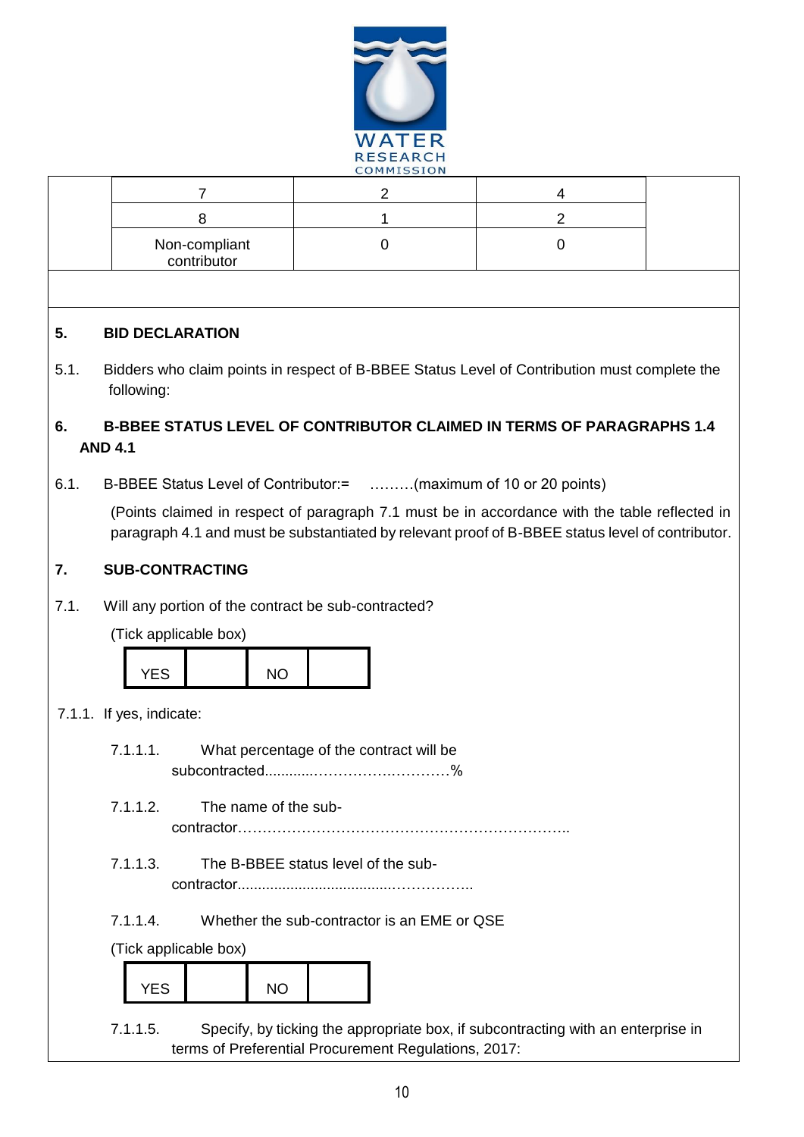

|      |                                                                                                                                                                                                   | COMMISSION                                                                       |                |  |  |
|------|---------------------------------------------------------------------------------------------------------------------------------------------------------------------------------------------------|----------------------------------------------------------------------------------|----------------|--|--|
|      | 7                                                                                                                                                                                                 | $\overline{2}$                                                                   | 4              |  |  |
|      | 8                                                                                                                                                                                                 | 1                                                                                | $\overline{2}$ |  |  |
|      | Non-compliant<br>contributor                                                                                                                                                                      | $\mathbf 0$                                                                      | 0              |  |  |
|      |                                                                                                                                                                                                   |                                                                                  |                |  |  |
| 5.   | <b>BID DECLARATION</b>                                                                                                                                                                            |                                                                                  |                |  |  |
| 5.1. | Bidders who claim points in respect of B-BBEE Status Level of Contribution must complete the<br>following:                                                                                        |                                                                                  |                |  |  |
| 6.   | <b>B-BBEE STATUS LEVEL OF CONTRIBUTOR CLAIMED IN TERMS OF PARAGRAPHS 1.4</b>                                                                                                                      |                                                                                  |                |  |  |
|      | <b>AND 4.1</b>                                                                                                                                                                                    |                                                                                  |                |  |  |
| 6.1. | B-BBEE Status Level of Contributor: = (maximum of 10 or 20 points)                                                                                                                                |                                                                                  |                |  |  |
|      | (Points claimed in respect of paragraph 7.1 must be in accordance with the table reflected in<br>paragraph 4.1 and must be substantiated by relevant proof of B-BBEE status level of contributor. |                                                                                  |                |  |  |
| 7.   | <b>SUB-CONTRACTING</b>                                                                                                                                                                            |                                                                                  |                |  |  |
| 7.1. | Will any portion of the contract be sub-contracted?                                                                                                                                               |                                                                                  |                |  |  |
|      | (Tick applicable box)                                                                                                                                                                             |                                                                                  |                |  |  |
|      |                                                                                                                                                                                                   |                                                                                  |                |  |  |
|      | <b>YES</b><br><b>NO</b>                                                                                                                                                                           |                                                                                  |                |  |  |
|      | 7.1.1. If yes, indicate:                                                                                                                                                                          |                                                                                  |                |  |  |
|      | 7.1.1.1.<br>What percentage of the contract will be                                                                                                                                               |                                                                                  |                |  |  |
|      | %<br>subcontracted                                                                                                                                                                                |                                                                                  |                |  |  |
|      | 7.1.1.2.<br>The name of the sub-                                                                                                                                                                  |                                                                                  |                |  |  |
|      | 7.1.1.3.<br>The B-BBEE status level of the sub-                                                                                                                                                   |                                                                                  |                |  |  |
|      | 7.1.1.4.                                                                                                                                                                                          | Whether the sub-contractor is an EME or QSE                                      |                |  |  |
|      | (Tick applicable box)                                                                                                                                                                             |                                                                                  |                |  |  |
|      | <b>YES</b><br><b>NO</b>                                                                                                                                                                           |                                                                                  |                |  |  |
|      | 7.1.1.5.                                                                                                                                                                                          | Specify, by ticking the appropriate box, if subcontracting with an enterprise in |                |  |  |

terms of Preferential Procurement Regulations, 2017: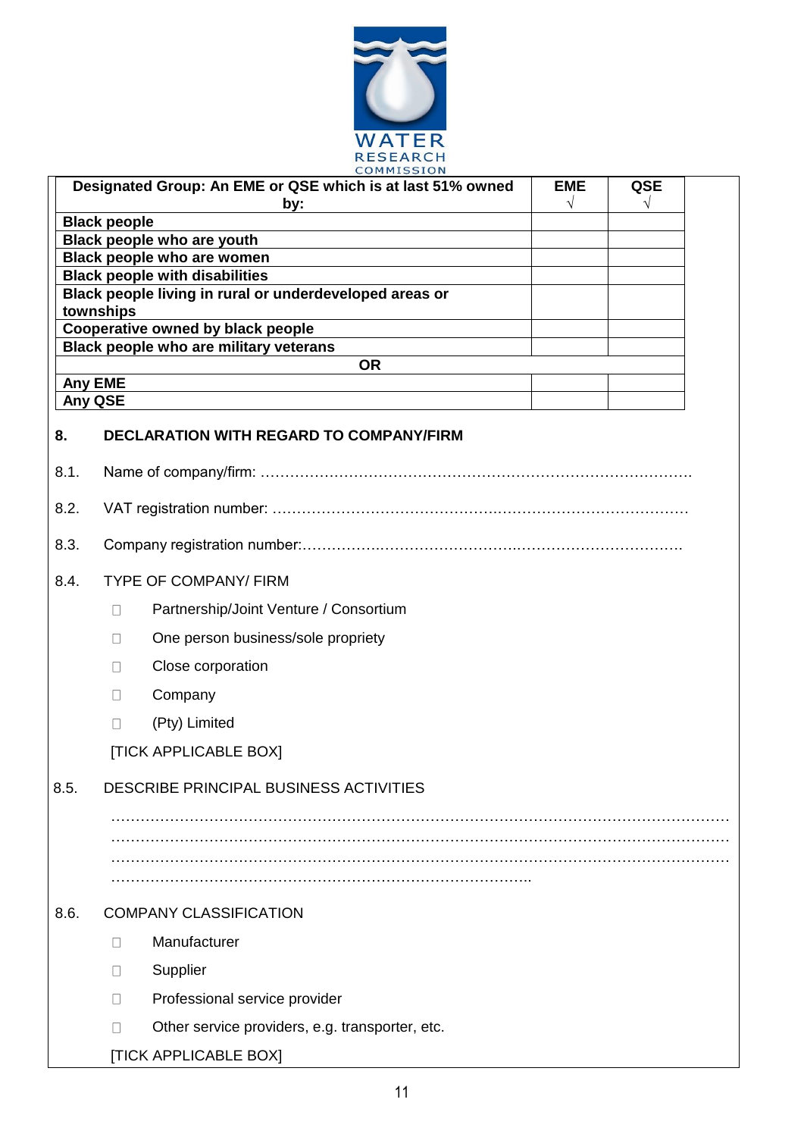

|      | COMMISSION                                                          |                         |                 |  |
|------|---------------------------------------------------------------------|-------------------------|-----------------|--|
|      | Designated Group: An EME or QSE which is at last 51% owned          | <b>EME</b><br>$\sqrt{}$ | <b>QSE</b><br>V |  |
|      | by:<br><b>Black people</b>                                          |                         |                 |  |
|      | Black people who are youth                                          |                         |                 |  |
|      | Black people who are women<br><b>Black people with disabilities</b> |                         |                 |  |
|      | Black people living in rural or underdeveloped areas or             |                         |                 |  |
|      | townships<br>Cooperative owned by black people                      |                         |                 |  |
|      | Black people who are military veterans                              |                         |                 |  |
|      | <b>OR</b>                                                           |                         |                 |  |
|      | <b>Any EME</b><br>Any QSE                                           |                         |                 |  |
| 8.   | <b>DECLARATION WITH REGARD TO COMPANY/FIRM</b>                      |                         |                 |  |
| 8.1. |                                                                     |                         |                 |  |
| 8.2. |                                                                     |                         |                 |  |
| 8.3. |                                                                     |                         |                 |  |
| 8.4. | <b>TYPE OF COMPANY/ FIRM</b>                                        |                         |                 |  |
|      | Partnership/Joint Venture / Consortium<br>П                         |                         |                 |  |
|      | One person business/sole propriety<br>$\mathbf{L}$                  |                         |                 |  |
|      | Close corporation<br>П                                              |                         |                 |  |
|      | Company<br>$\perp$                                                  |                         |                 |  |
|      | (Pty) Limited<br>П                                                  |                         |                 |  |
|      | <b>[TICK APPLICABLE BOX]</b>                                        |                         |                 |  |
| 8.5. | DESCRIBE PRINCIPAL BUSINESS ACTIVITIES                              |                         |                 |  |
|      |                                                                     |                         |                 |  |
|      |                                                                     |                         |                 |  |
|      |                                                                     |                         |                 |  |
| 8.6. | <b>COMPANY CLASSIFICATION</b>                                       |                         |                 |  |
|      | Manufacturer<br>$\perp$                                             |                         |                 |  |
|      | Supplier<br>$\Box$                                                  |                         |                 |  |
|      | Professional service provider<br>$\perp$                            |                         |                 |  |
|      | Other service providers, e.g. transporter, etc.<br>П                |                         |                 |  |
|      | [TICK APPLICABLE BOX]                                               |                         |                 |  |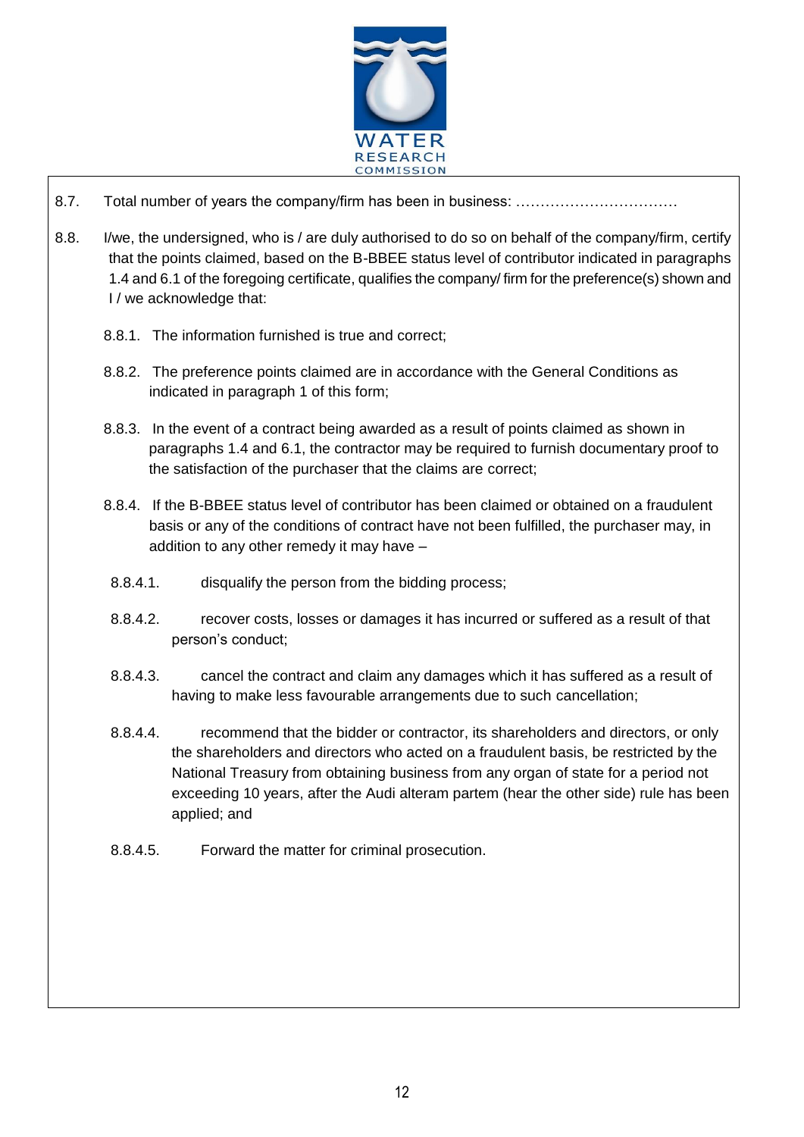

 $\overline{a}$ 

- 8.7. Total number of years the company/firm has been in business: ……………………………
- 8.8. I/we, the undersigned, who is / are duly authorised to do so on behalf of the company/firm, certify that the points claimed, based on the B-BBEE status level of contributor indicated in paragraphs 1.4 and 6.1 of the foregoing certificate, qualifies the company/ firm for the preference(s) shown and I / we acknowledge that:
	- 8.8.1. The information furnished is true and correct;
	- 8.8.2. The preference points claimed are in accordance with the General Conditions as indicated in paragraph 1 of this form;
	- 8.8.3. In the event of a contract being awarded as a result of points claimed as shown in paragraphs 1.4 and 6.1, the contractor may be required to furnish documentary proof to the satisfaction of the purchaser that the claims are correct;
	- 8.8.4. If the B-BBEE status level of contributor has been claimed or obtained on a fraudulent basis or any of the conditions of contract have not been fulfilled, the purchaser may, in addition to any other remedy it may have –
	- 8.8.4.1. disqualify the person from the bidding process;
	- 8.8.4.2. recover costs, losses or damages it has incurred or suffered as a result of that person's conduct;
	- 8.8.4.3. cancel the contract and claim any damages which it has suffered as a result of having to make less favourable arrangements due to such cancellation;
	- 8.8.4.4. recommend that the bidder or contractor, its shareholders and directors, or only the shareholders and directors who acted on a fraudulent basis, be restricted by the National Treasury from obtaining business from any organ of state for a period not exceeding 10 years, after the Audi alteram partem (hear the other side) rule has been applied; and
	- 8.8.4.5. Forward the matter for criminal prosecution.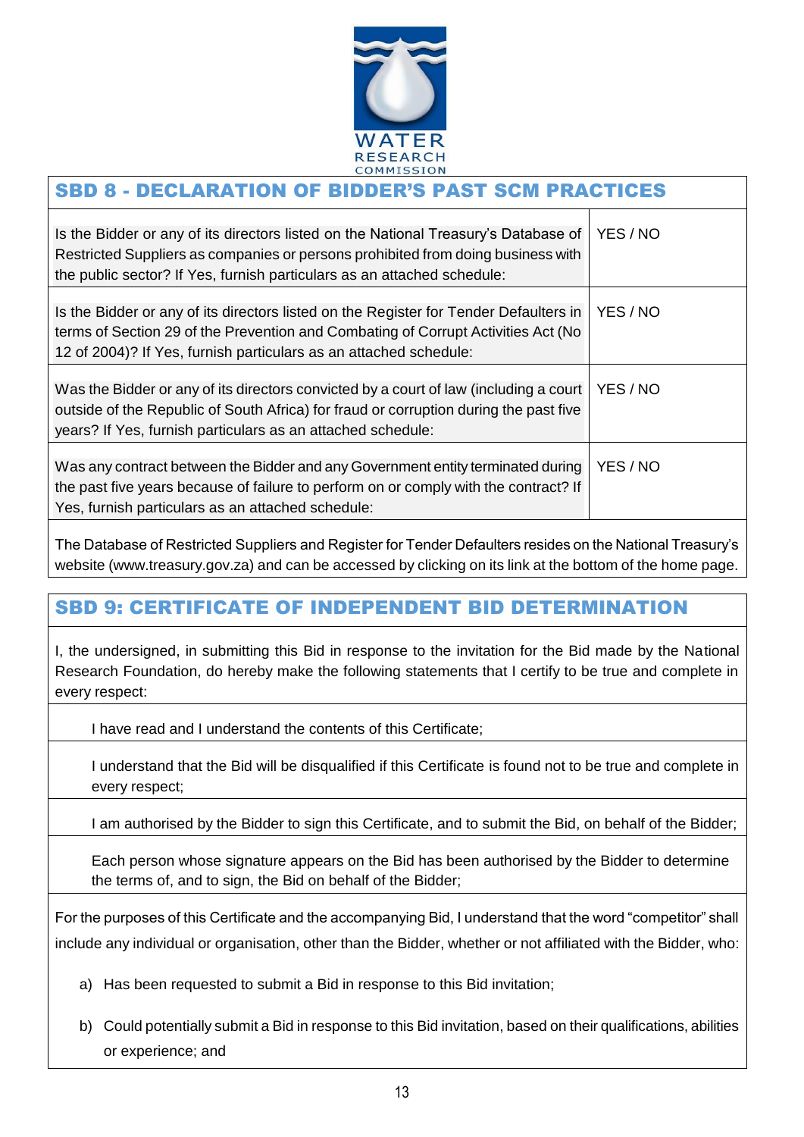

#### $\overline{a}$ SBD 8 - DECLARATION OF BIDDER'S PAST SCM PRACTICES

| Is the Bidder or any of its directors listed on the National Treasury's Database of<br>Restricted Suppliers as companies or persons prohibited from doing business with<br>the public sector? If Yes, furnish particulars as an attached schedule: | YES / NO |
|----------------------------------------------------------------------------------------------------------------------------------------------------------------------------------------------------------------------------------------------------|----------|
| Is the Bidder or any of its directors listed on the Register for Tender Defaulters in<br>terms of Section 29 of the Prevention and Combating of Corrupt Activities Act (No<br>12 of 2004)? If Yes, furnish particulars as an attached schedule:    | YES / NO |
| Was the Bidder or any of its directors convicted by a court of law (including a court<br>outside of the Republic of South Africa) for fraud or corruption during the past five<br>years? If Yes, furnish particulars as an attached schedule:      | YES / NO |
| Was any contract between the Bidder and any Government entity terminated during<br>the past five years because of failure to perform on or comply with the contract? If<br>Yes, furnish particulars as an attached schedule:                       | YES / NO |

The Database of Restricted Suppliers and Register for Tender Defaulters resides on the National Treasury's website (www.treasury.gov.za) and can be accessed by clicking on its link at the bottom of the home page.

# SBD 9: CERTIFICATE OF INDEPENDENT BID DETERMINATION

I, the undersigned, in submitting this Bid in response to the invitation for the Bid made by the National Research Foundation, do hereby make the following statements that I certify to be true and complete in every respect:

I have read and I understand the contents of this Certificate;

I understand that the Bid will be disqualified if this Certificate is found not to be true and complete in every respect;

I am authorised by the Bidder to sign this Certificate, and to submit the Bid, on behalf of the Bidder;

Each person whose signature appears on the Bid has been authorised by the Bidder to determine the terms of, and to sign, the Bid on behalf of the Bidder;

For the purposes of this Certificate and the accompanying Bid, I understand that the word "competitor" shall include any individual or organisation, other than the Bidder, whether or not affiliated with the Bidder, who:

- a) Has been requested to submit a Bid in response to this Bid invitation;
- b) Could potentially submit a Bid in response to this Bid invitation, based on their qualifications, abilities or experience; and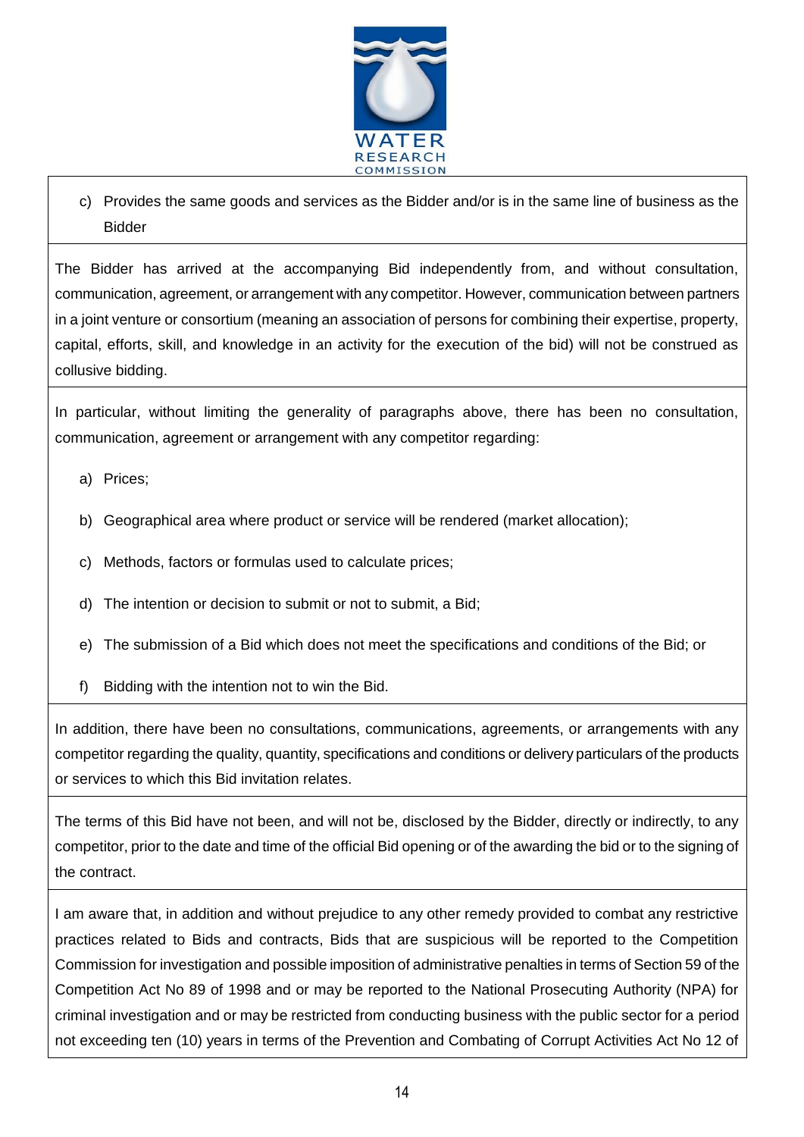

c) Provides the same goods and services as the Bidder and/or is in the same line of business as the Bidder

 $\overline{a}$ 

The Bidder has arrived at the accompanying Bid independently from, and without consultation, communication, agreement, or arrangement with any competitor. However, communication between partners in a joint venture or consortium (meaning an association of persons for combining their expertise, property, capital, efforts, skill, and knowledge in an activity for the execution of the bid) will not be construed as collusive bidding.

In particular, without limiting the generality of paragraphs above, there has been no consultation, communication, agreement or arrangement with any competitor regarding:

- a) Prices;
- b) Geographical area where product or service will be rendered (market allocation);
- c) Methods, factors or formulas used to calculate prices;
- d) The intention or decision to submit or not to submit, a Bid;
- e) The submission of a Bid which does not meet the specifications and conditions of the Bid; or
- f) Bidding with the intention not to win the Bid.

In addition, there have been no consultations, communications, agreements, or arrangements with any competitor regarding the quality, quantity, specifications and conditions or delivery particulars of the products or services to which this Bid invitation relates.

The terms of this Bid have not been, and will not be, disclosed by the Bidder, directly or indirectly, to any competitor, prior to the date and time of the official Bid opening or of the awarding the bid or to the signing of the contract.

I am aware that, in addition and without prejudice to any other remedy provided to combat any restrictive practices related to Bids and contracts, Bids that are suspicious will be reported to the Competition Commission for investigation and possible imposition of administrative penalties in terms of Section 59 of the Competition Act No 89 of 1998 and or may be reported to the National Prosecuting Authority (NPA) for criminal investigation and or may be restricted from conducting business with the public sector for a period not exceeding ten (10) years in terms of the Prevention and Combating of Corrupt Activities Act No 12 of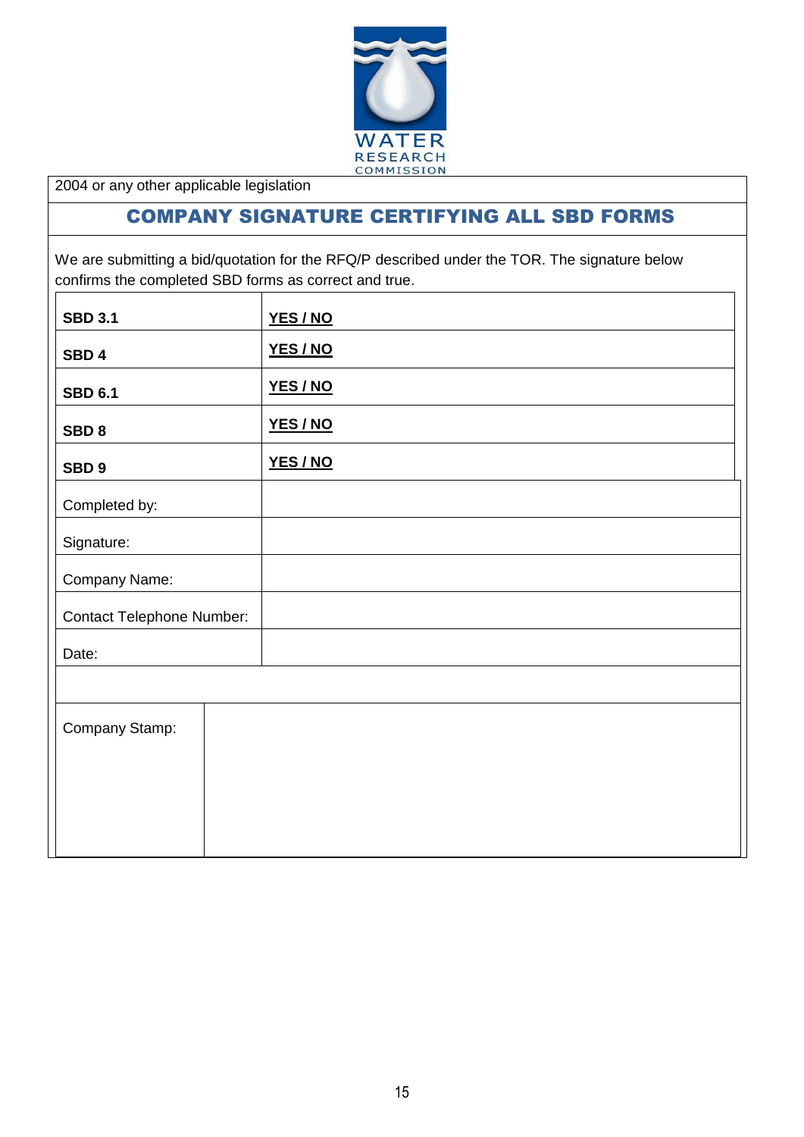

2004 or any other applicable legislation

# COMPANY SIGNATURE CERTIFYING ALL SBD FORMS

 $\overline{a}$ 

We are submitting a bid/quotation for the RFQ/P described under the TOR. The signature below confirms the completed SBD forms as correct and true.

| <b>SBD 3.1</b>                   | YES/NO   |
|----------------------------------|----------|
| SBD <sub>4</sub>                 | YES / NO |
| <b>SBD 6.1</b>                   | YES/NO   |
| SBD <sub>8</sub>                 | YES/NO   |
| SBD <sub>9</sub>                 | YES/NO   |
| Completed by:                    |          |
| Signature:                       |          |
| Company Name:                    |          |
| <b>Contact Telephone Number:</b> |          |
| Date:                            |          |
|                                  |          |
| Company Stamp:                   |          |
|                                  |          |
|                                  |          |
|                                  |          |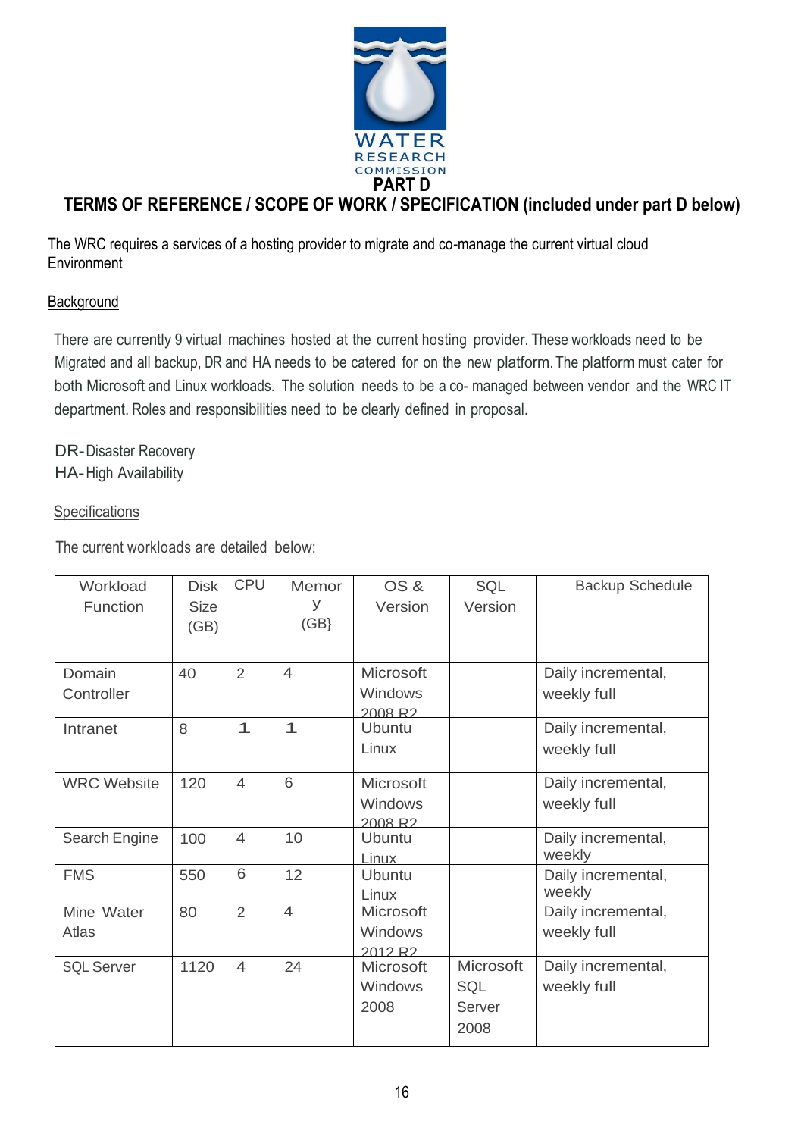

# **TERMS OF REFERENCE / SCOPE OF WORK / SPECIFICATION (included under part D below)**

The WRC requires a services of a hosting provider to migrate and co-manage the current virtual cloud **Environment** 

## **Background**

There are currently 9 virtual machines hosted at the current hosting provider. These workloads need to be Migrated and all backup, DR and HA needs to be catered for on the new platform. The platform must cater for both Microsoft and Linux workloads. The solution needs to be a co- managed between vendor and the WRC IT department. Roles and responsibilities need to be clearly defined in proposal.

DR-Disaster Recovery HA-High Availability

#### **Specifications**

The current workloads are detailed below:

| Workload           | <b>Disk</b> | <b>CPU</b>     | Memor          | OS&                 | SQL              | <b>Backup Schedule</b> |
|--------------------|-------------|----------------|----------------|---------------------|------------------|------------------------|
| Function           | <b>Size</b> |                | У              | Version             | Version          |                        |
|                    | (GB)        |                | (GB)           |                     |                  |                        |
|                    |             |                |                |                     |                  |                        |
| Domain             | 40          | $\overline{2}$ | $\overline{4}$ | <b>Microsoft</b>    |                  | Daily incremental,     |
| Controller         |             |                |                | Windows             |                  | weekly full            |
|                    |             |                |                | 2008 R <sub>2</sub> |                  |                        |
| Intranet           | 8           | $\mathbf 1$    | 1              | Ubuntu              |                  | Daily incremental,     |
|                    |             |                |                | Linux               |                  | weekly full            |
|                    |             |                |                |                     |                  |                        |
| <b>WRC Website</b> | 120         | $\overline{4}$ | 6              | <b>Microsoft</b>    |                  | Daily incremental,     |
|                    |             |                |                | <b>Windows</b>      |                  | weekly full            |
|                    |             |                |                | 2008 R <sub>2</sub> |                  |                        |
| Search Engine      | 100         | $\overline{4}$ | 10             | Ubuntu              |                  | Daily incremental,     |
|                    |             |                |                | Linux               |                  | weekly                 |
| <b>FMS</b>         | 550         | 6              | 12             | <b>Ubuntu</b>       |                  | Daily incremental,     |
|                    |             |                |                | Linux               |                  | weekly                 |
| Mine Water         | 80          | $\overline{2}$ | $\overline{4}$ | Microsoft           |                  | Daily incremental,     |
| Atlas              |             |                |                | Windows             |                  | weekly full            |
|                    |             |                |                | 2012 R <sub>2</sub> |                  |                        |
| <b>SQL Server</b>  | 1120        | $\overline{4}$ | 24             | <b>Microsoft</b>    | <b>Microsoft</b> | Daily incremental,     |
|                    |             |                |                | Windows             | SQL              | weekly full            |
|                    |             |                |                | 2008                | Server           |                        |
|                    |             |                |                |                     | 2008             |                        |
|                    |             |                |                |                     |                  |                        |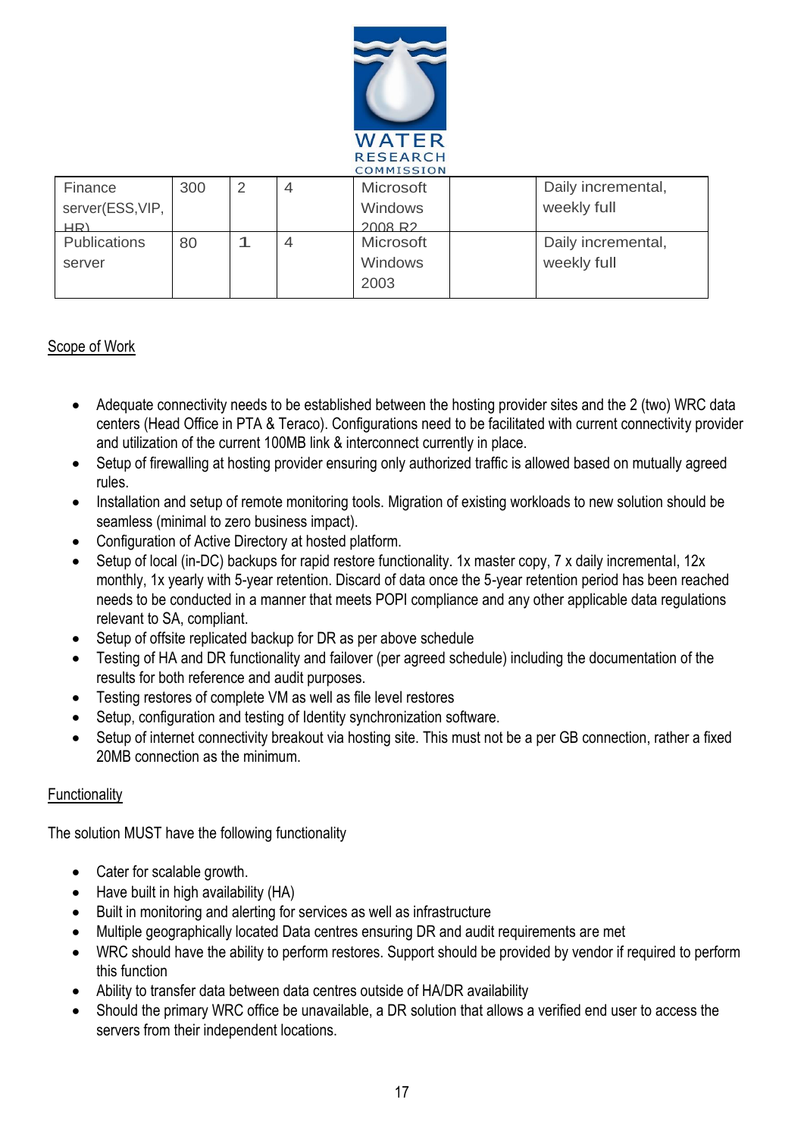

|        | COMMISSION          |     |   |   |                  |  |                    |
|--------|---------------------|-----|---|---|------------------|--|--------------------|
|        | Finance             | 300 | 2 | 4 | <b>Microsoft</b> |  | Daily incremental, |
|        | server(ESS, VIP,    |     |   |   | <b>Windows</b>   |  | weekly full        |
|        | HR)                 |     |   |   | 2008 R2          |  |                    |
|        | <b>Publications</b> | 80  |   |   | <b>Microsoft</b> |  | Daily incremental, |
| server |                     |     |   |   | <b>Windows</b>   |  | weekly full        |
|        |                     |     |   |   | 2003             |  |                    |
|        |                     |     |   |   |                  |  |                    |

#### Scope of Work

- Adequate connectivity needs to be established between the hosting provider sites and the 2 (two) WRC data centers (Head Office in PTA & Teraco). Configurations need to be facilitated with current connectivity provider and utilization of the current 100MB link & interconnect currently in place.
- Setup of firewalling at hosting provider ensuring only authorized traffic is allowed based on mutually agreed rules.
- Installation and setup of remote monitoring tools. Migration of existing workloads to new solution should be seamless (minimal to zero business impact).
- Configuration of Active Directory at hosted platform.
- Setup of local (in-DC) backups for rapid restore functionality. 1x master copy, 7 x daily incremental, 12x monthly, 1x yearly with 5-year retention. Discard of data once the 5-year retention period has been reached needs to be conducted in a manner that meets POPI compliance and any other applicable data regulations relevant to SA, compliant.
- Setup of offsite replicated backup for DR as per above schedule
- Testing of HA and DR functionality and failover (per agreed schedule) including the documentation of the results for both reference and audit purposes.
- Testing restores of complete VM as well as file level restores
- Setup, configuration and testing of Identity synchronization software.
- Setup of internet connectivity breakout via hosting site. This must not be a per GB connection, rather a fixed 20MB connection as the minimum.

#### **Functionality**

The solution MUST have the following functionality

- Cater for scalable growth.
- Have built in high availability (HA)
- Built in monitoring and alerting for services as well as infrastructure
- Multiple geographically located Data centres ensuring DR and audit requirements are met
- WRC should have the ability to perform restores. Support should be provided by vendor if required to perform this function
- Ability to transfer data between data centres outside of HA/DR availability
- Should the primary WRC office be unavailable, a DR solution that allows a verified end user to access the servers from their independent locations.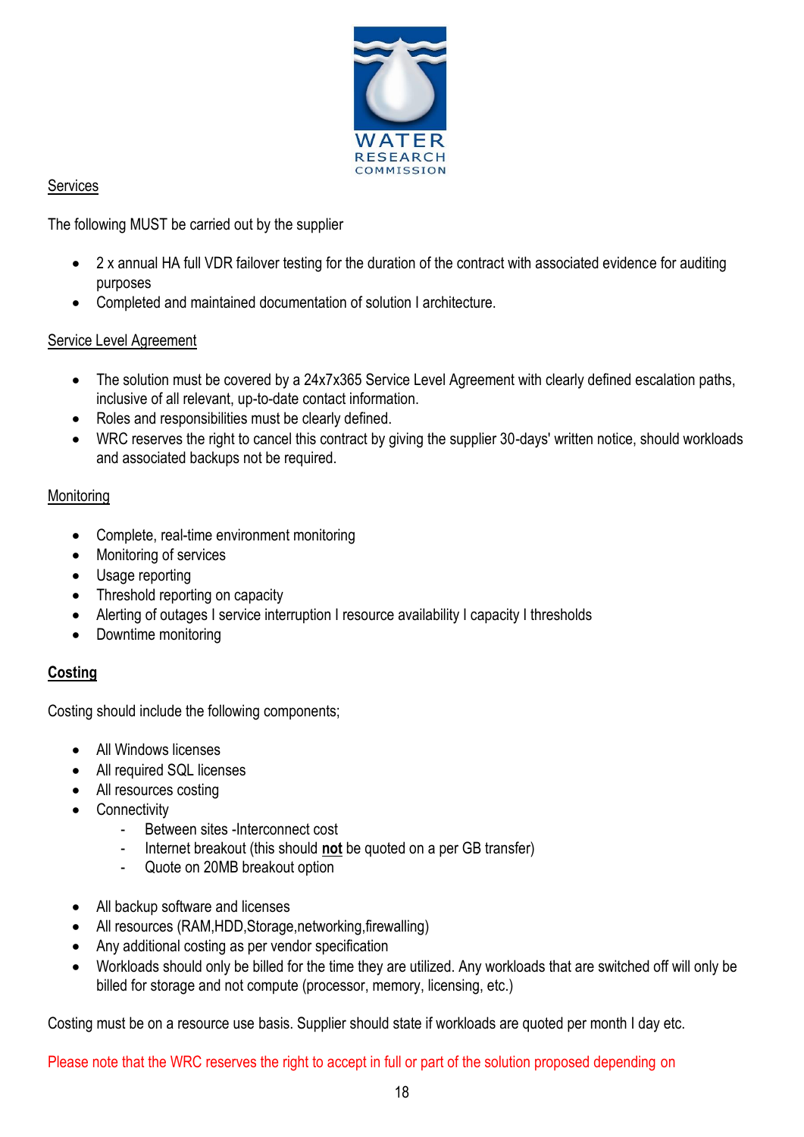

## Services

The following MUST be carried out by the supplier

- 2 x annual HA full VDR failover testing for the duration of the contract with associated evidence for auditing purposes
- Completed and maintained documentation of solution I architecture.

## Service Level Agreement

- The solution must be covered by a 24x7x365 Service Level Agreement with clearly defined escalation paths, inclusive of all relevant, up-to-date contact information.
- Roles and responsibilities must be clearly defined.
- WRC reserves the right to cancel this contract by giving the supplier 30-days' written notice, should workloads and associated backups not be required.

## **Monitoring**

- Complete, real-time environment monitoring
- Monitoring of services
- Usage reporting
- Threshold reporting on capacity
- Alerting of outages I service interruption I resource availability I capacity I thresholds
- Downtime monitoring

## **Costing**

Costing should include the following components;

- All Windows licenses
- All required SQL licenses
- All resources costing
- Connectivity
	- Between sites -Interconnect cost
	- Internet breakout (this should **not** be quoted on a per GB transfer)
	- Quote on 20MB breakout option
- All backup software and licenses
- All resources (RAM,HDD,Storage,networking,firewalling)
- Any additional costing as per vendor specification
- Workloads should only be billed for the time they are utilized. Any workloads that are switched off will only be billed for storage and not compute (processor, memory, licensing, etc.)

Costing must be on a resource use basis. Supplier should state if workloads are quoted per month I day etc.

Please note that the WRC reserves the right to accept in full or part of the solution proposed depending on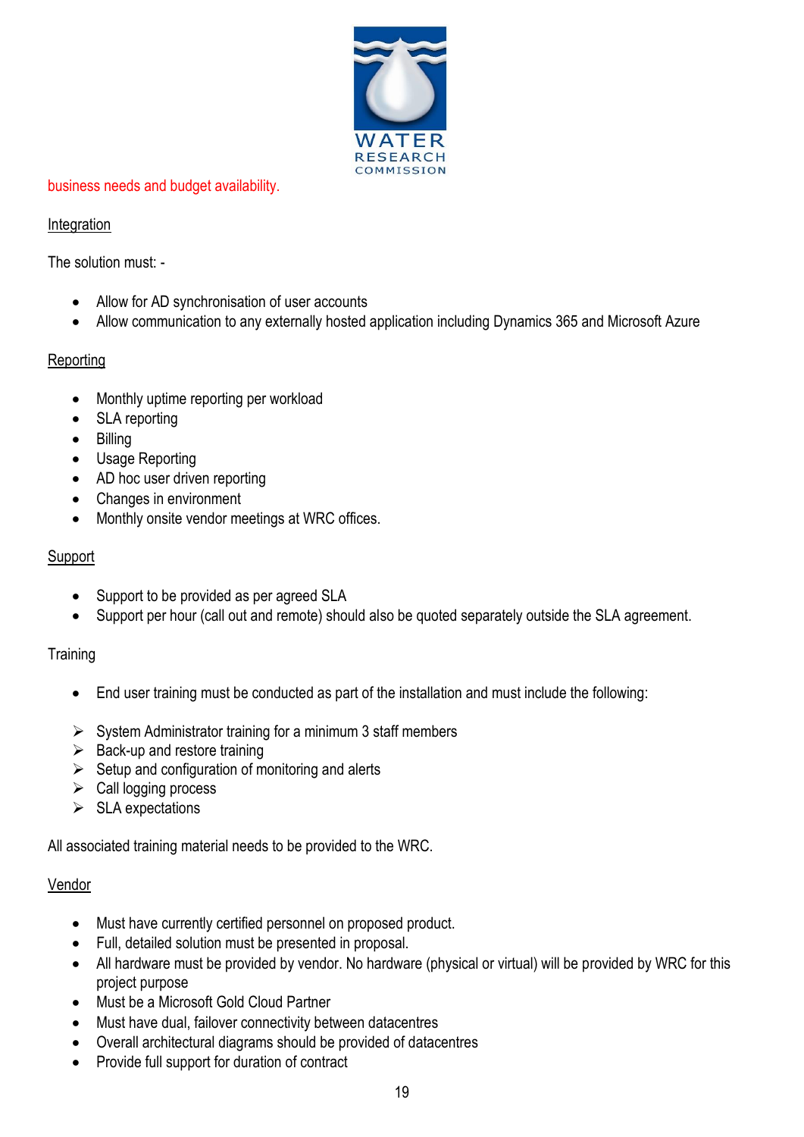

#### business needs and budget availability.

#### Integration

The solution must: -

- Allow for AD synchronisation of user accounts
- Allow communication to any externally hosted application including Dynamics 365 and Microsoft Azure

## Reporting

- Monthly uptime reporting per workload
- SLA reporting
- Billing
- Usage Reporting
- AD hoc user driven reporting
- Changes in environment
- Monthly onsite vendor meetings at WRC offices.

## Support

- Support to be provided as per agreed SLA
- Support per hour (call out and remote) should also be quoted separately outside the SLA agreement.

## **Training**

- End user training must be conducted as part of the installation and must include the following:
- $\triangleright$  System Administrator training for a minimum 3 staff members
- $\triangleright$  Back-up and restore training
- $\triangleright$  Setup and configuration of monitoring and alerts
- $\triangleright$  Call logging process
- $\triangleright$  SLA expectations

All associated training material needs to be provided to the WRC.

## Vendor

- Must have currently certified personnel on proposed product.
- Full, detailed solution must be presented in proposal.
- All hardware must be provided by vendor. No hardware (physical or virtual) will be provided by WRC for this project purpose
- Must be a Microsoft Gold Cloud Partner
- Must have dual, failover connectivity between datacentres
- Overall architectural diagrams should be provided of datacentres
- Provide full support for duration of contract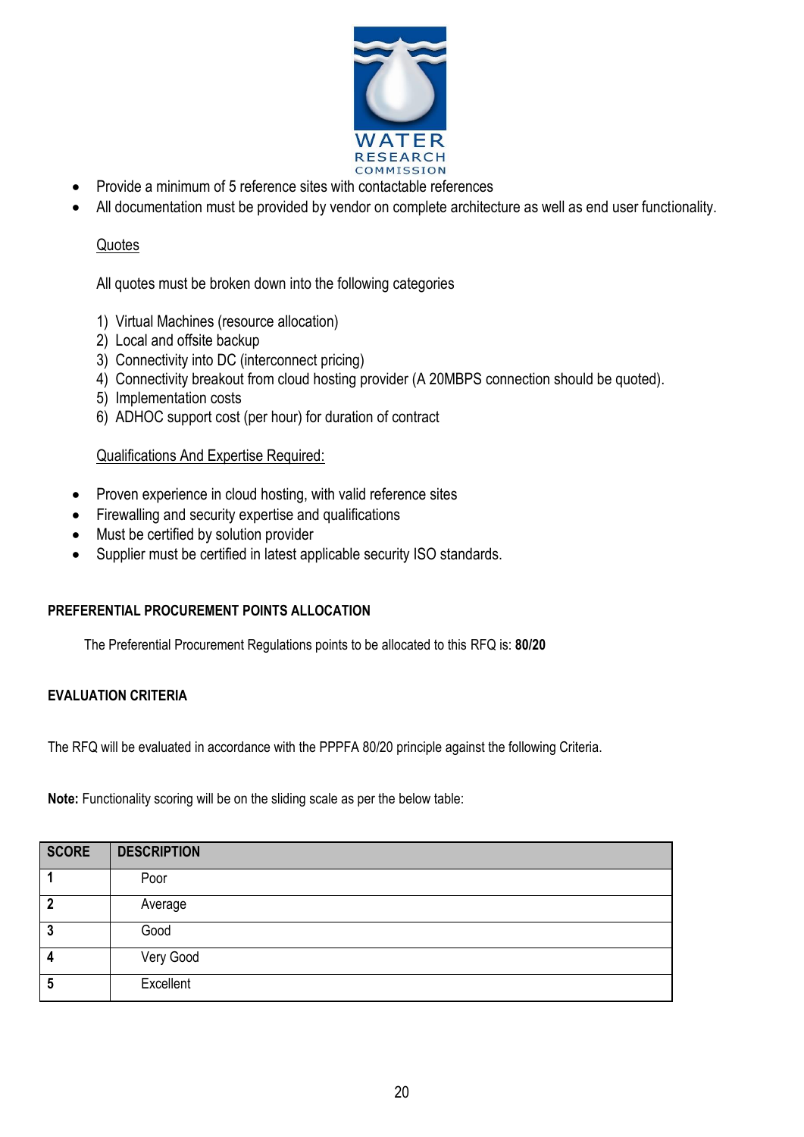

- Provide a minimum of 5 reference sites with contactable references
- All documentation must be provided by vendor on complete architecture as well as end user functionality.

#### **Quotes**

All quotes must be broken down into the following categories

- 1) Virtual Machines (resource allocation)
- 2) Local and offsite backup
- 3) Connectivity into DC (interconnect pricing)
- 4) Connectivity breakout from cloud hosting provider (A 20MBPS connection should be quoted).
- 5) Implementation costs
- 6) ADHOC support cost (per hour) for duration of contract

#### Qualifications And Expertise Required:

- Proven experience in cloud hosting, with valid reference sites
- Firewalling and security expertise and qualifications
- Must be certified by solution provider
- Supplier must be certified in latest applicable security ISO standards.

#### **PREFERENTIAL PROCUREMENT POINTS ALLOCATION**

The Preferential Procurement Regulations points to be allocated to this RFQ is: **80/20**

#### **EVALUATION CRITERIA**

The RFQ will be evaluated in accordance with the PPPFA 80/20 principle against the following Criteria.

**Note:** Functionality scoring will be on the sliding scale as per the below table:

| <b>SCORE</b> | <b>DESCRIPTION</b> |
|--------------|--------------------|
|              | Poor               |
| າ            | Average            |
| 3            | Good               |
| 4            | Very Good          |
| 5            | Excellent          |